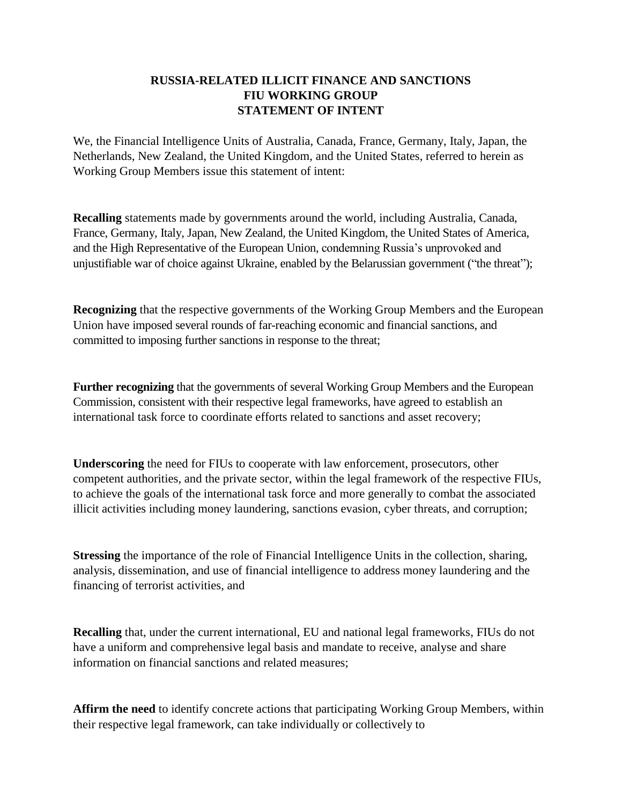## **RUSSIA-RELATED ILLICIT FINANCE AND SANCTIONS FIU WORKING GROUP STATEMENT OF INTENT**

We, the Financial Intelligence Units of Australia, Canada, France, Germany, Italy, Japan, the Netherlands, New Zealand, the United Kingdom, and the United States, referred to herein as Working Group Members issue this statement of intent:

**Recalling** statements made by governments around the world, including Australia, Canada, France, Germany, Italy, Japan, New Zealand, the United Kingdom, the United States of America, and the High Representative of the European Union, condemning Russia's unprovoked and unjustifiable war of choice against Ukraine, enabled by the Belarussian government ("the threat");

**Recognizing** that the respective governments of the Working Group Members and the European Union have imposed several rounds of far-reaching economic and financial sanctions, and committed to imposing further sanctions in response to the threat;

**Further recognizing** that the governments of several Working Group Members and the European Commission, consistent with their respective legal frameworks, have agreed to establish an international task force to coordinate efforts related to sanctions and asset recovery;

**Underscoring** the need for FIUs to cooperate with law enforcement, prosecutors, other competent authorities, and the private sector, within the legal framework of the respective FIUs, to achieve the goals of the international task force and more generally to combat the associated illicit activities including money laundering, sanctions evasion, cyber threats, and corruption;

**Stressing** the importance of the role of Financial Intelligence Units in the collection, sharing, analysis, dissemination, and use of financial intelligence to address money laundering and the financing of terrorist activities, and

**Recalling** that, under the current international, EU and national legal frameworks, FIUs do not have a uniform and comprehensive legal basis and mandate to receive, analyse and share information on financial sanctions and related measures;

**Affirm the need** to identify concrete actions that participating Working Group Members, within their respective legal framework, can take individually or collectively to